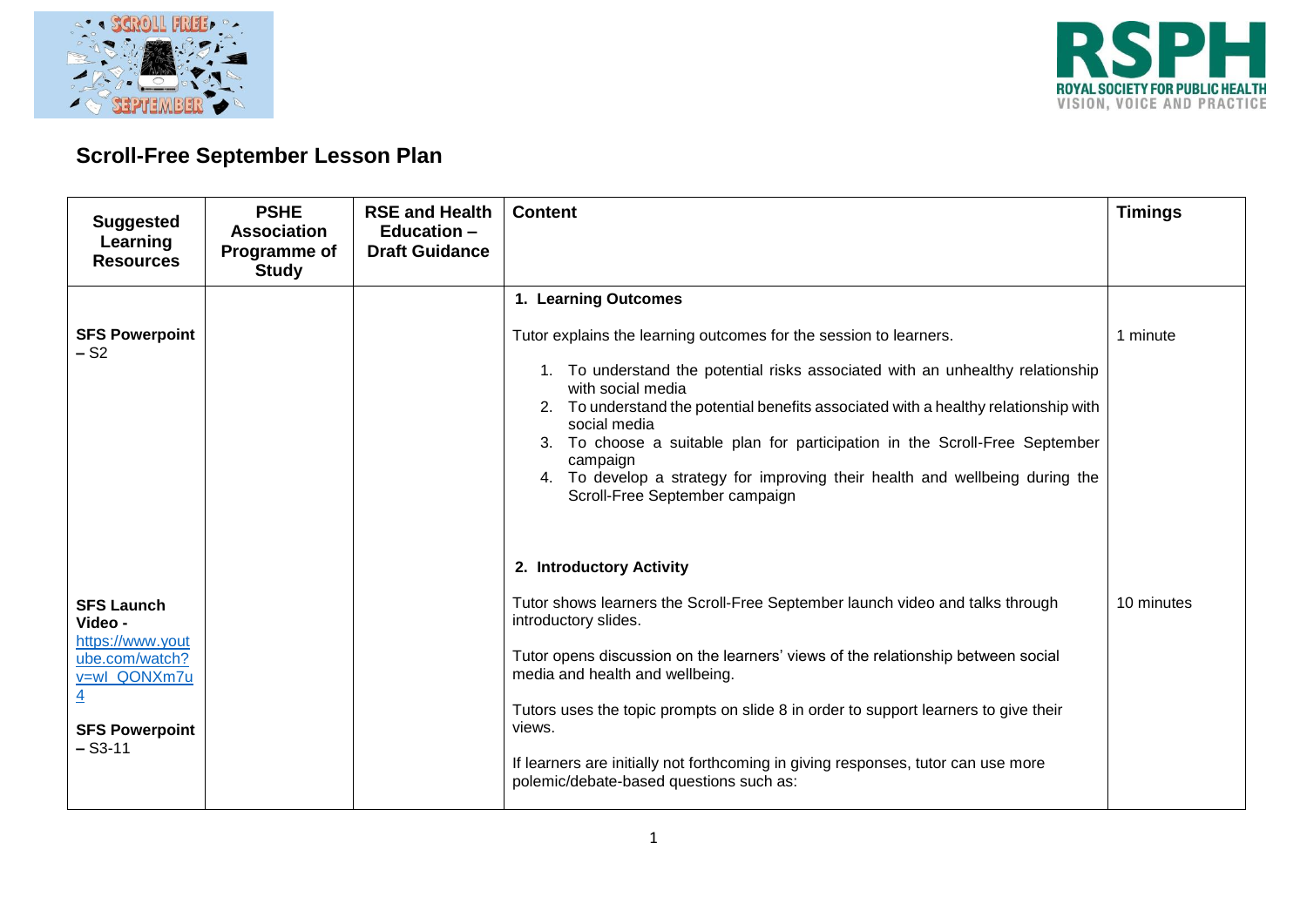



## **Scroll-Free September Lesson Plan**

| <b>Suggested</b><br>Learning<br><b>Resources</b>                                                                                           | <b>PSHE</b><br><b>Association</b><br>Programme of<br><b>Study</b> | <b>RSE and Health</b><br><b>Education -</b><br><b>Draft Guidance</b> | <b>Content</b>                                                                                                                                                                                                                                                                                                                                                                                                                                                                                                       | <b>Timings</b> |
|--------------------------------------------------------------------------------------------------------------------------------------------|-------------------------------------------------------------------|----------------------------------------------------------------------|----------------------------------------------------------------------------------------------------------------------------------------------------------------------------------------------------------------------------------------------------------------------------------------------------------------------------------------------------------------------------------------------------------------------------------------------------------------------------------------------------------------------|----------------|
| <b>SFS Powerpoint</b><br>– S2                                                                                                              |                                                                   |                                                                      | 1. Learning Outcomes<br>Tutor explains the learning outcomes for the session to learners.<br>1. To understand the potential risks associated with an unhealthy relationship<br>with social media<br>2. To understand the potential benefits associated with a healthy relationship with<br>social media<br>3. To choose a suitable plan for participation in the Scroll-Free September<br>campaign<br>4. To develop a strategy for improving their health and wellbeing during the<br>Scroll-Free September campaign | 1 minute       |
| <b>SFS Launch</b><br>Video -<br>https://www.yout<br>ube.com/watch?<br>v=wl_QONXm7u<br>$\overline{4}$<br><b>SFS Powerpoint</b><br>$-$ S3-11 |                                                                   |                                                                      | 2. Introductory Activity<br>Tutor shows learners the Scroll-Free September launch video and talks through<br>introductory slides.<br>Tutor opens discussion on the learners' views of the relationship between social<br>media and health and wellbeing.<br>Tutors uses the topic prompts on slide 8 in order to support learners to give their<br>views.<br>If learners are initially not forthcoming in giving responses, tutor can use more<br>polemic/debate-based questions such as:                            | 10 minutes     |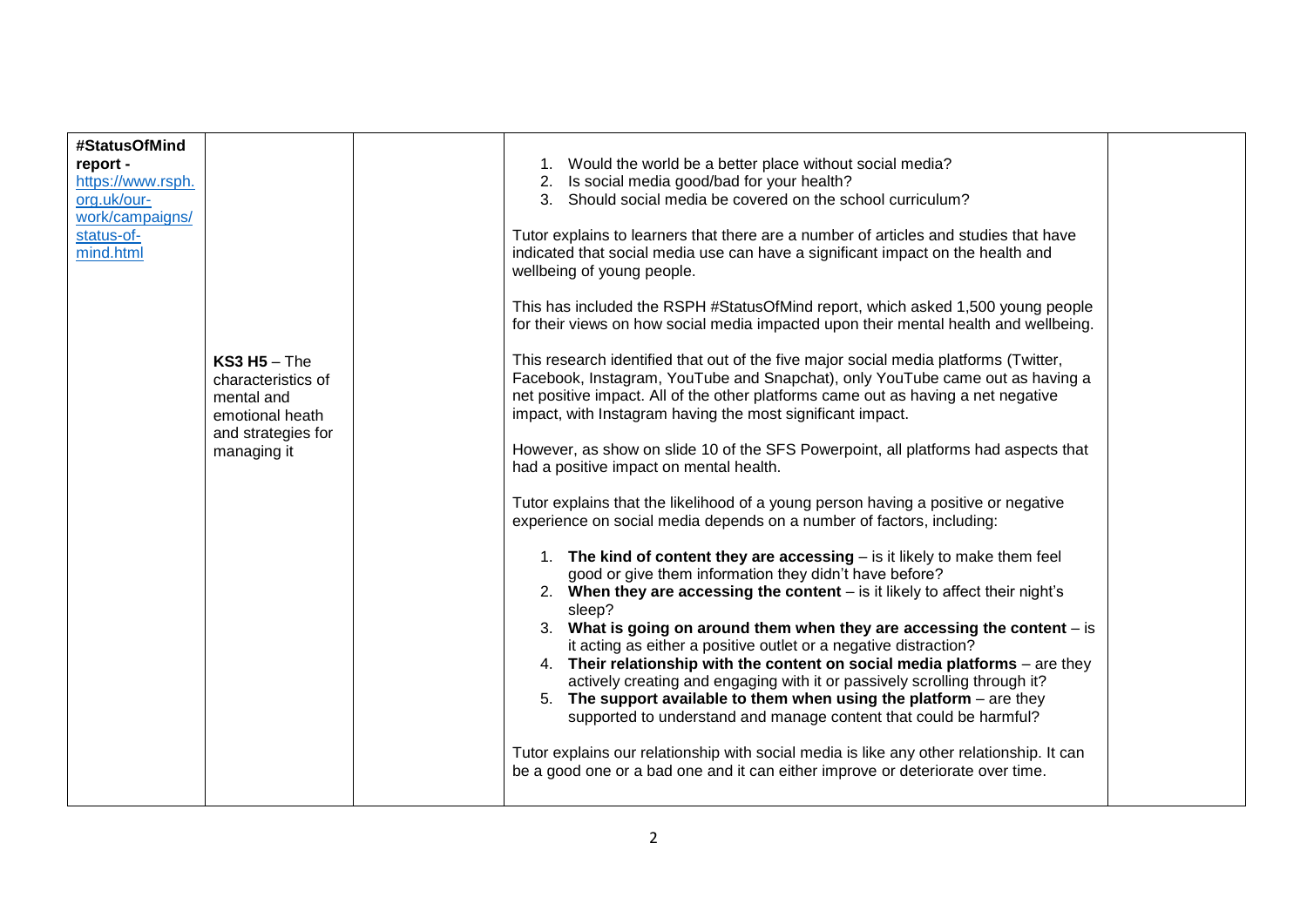| #StatusOfMind<br>report -<br>https://www.rsph.<br>org.uk/our-<br>work/campaigns/<br>status-of-<br>mind.html | $KS3H5$ – The<br>characteristics of<br>mental and<br>emotional heath<br>and strategies for<br>managing it | 1. Would the world be a better place without social media?<br>2. Is social media good/bad for your health?<br>3. Should social media be covered on the school curriculum?<br>Tutor explains to learners that there are a number of articles and studies that have<br>indicated that social media use can have a significant impact on the health and<br>wellbeing of young people.<br>This has included the RSPH #StatusOfMind report, which asked 1,500 young people<br>for their views on how social media impacted upon their mental health and wellbeing.<br>This research identified that out of the five major social media platforms (Twitter,<br>Facebook, Instagram, YouTube and Snapchat), only YouTube came out as having a<br>net positive impact. All of the other platforms came out as having a net negative<br>impact, with Instagram having the most significant impact.<br>However, as show on slide 10 of the SFS Powerpoint, all platforms had aspects that<br>had a positive impact on mental health.<br>Tutor explains that the likelihood of a young person having a positive or negative<br>experience on social media depends on a number of factors, including:<br>1. The kind of content they are accessing – is it likely to make them feel<br>good or give them information they didn't have before?<br>2. When they are accessing the content - is it likely to affect their night's<br>sleep?<br>3. What is going on around them when they are accessing the content $-$ is<br>it acting as either a positive outlet or a negative distraction?<br>4. Their relationship with the content on social media platforms - are they<br>actively creating and engaging with it or passively scrolling through it?<br>5. The support available to them when using the platform $-$ are they<br>supported to understand and manage content that could be harmful?<br>Tutor explains our relationship with social media is like any other relationship. It can |  |
|-------------------------------------------------------------------------------------------------------------|-----------------------------------------------------------------------------------------------------------|--------------------------------------------------------------------------------------------------------------------------------------------------------------------------------------------------------------------------------------------------------------------------------------------------------------------------------------------------------------------------------------------------------------------------------------------------------------------------------------------------------------------------------------------------------------------------------------------------------------------------------------------------------------------------------------------------------------------------------------------------------------------------------------------------------------------------------------------------------------------------------------------------------------------------------------------------------------------------------------------------------------------------------------------------------------------------------------------------------------------------------------------------------------------------------------------------------------------------------------------------------------------------------------------------------------------------------------------------------------------------------------------------------------------------------------------------------------------------------------------------------------------------------------------------------------------------------------------------------------------------------------------------------------------------------------------------------------------------------------------------------------------------------------------------------------------------------------------------------------------------------------------------------------------------------------------------------------------------------------|--|
|                                                                                                             |                                                                                                           | be a good one or a bad one and it can either improve or deteriorate over time.                                                                                                                                                                                                                                                                                                                                                                                                                                                                                                                                                                                                                                                                                                                                                                                                                                                                                                                                                                                                                                                                                                                                                                                                                                                                                                                                                                                                                                                                                                                                                                                                                                                                                                                                                                                                                                                                                                       |  |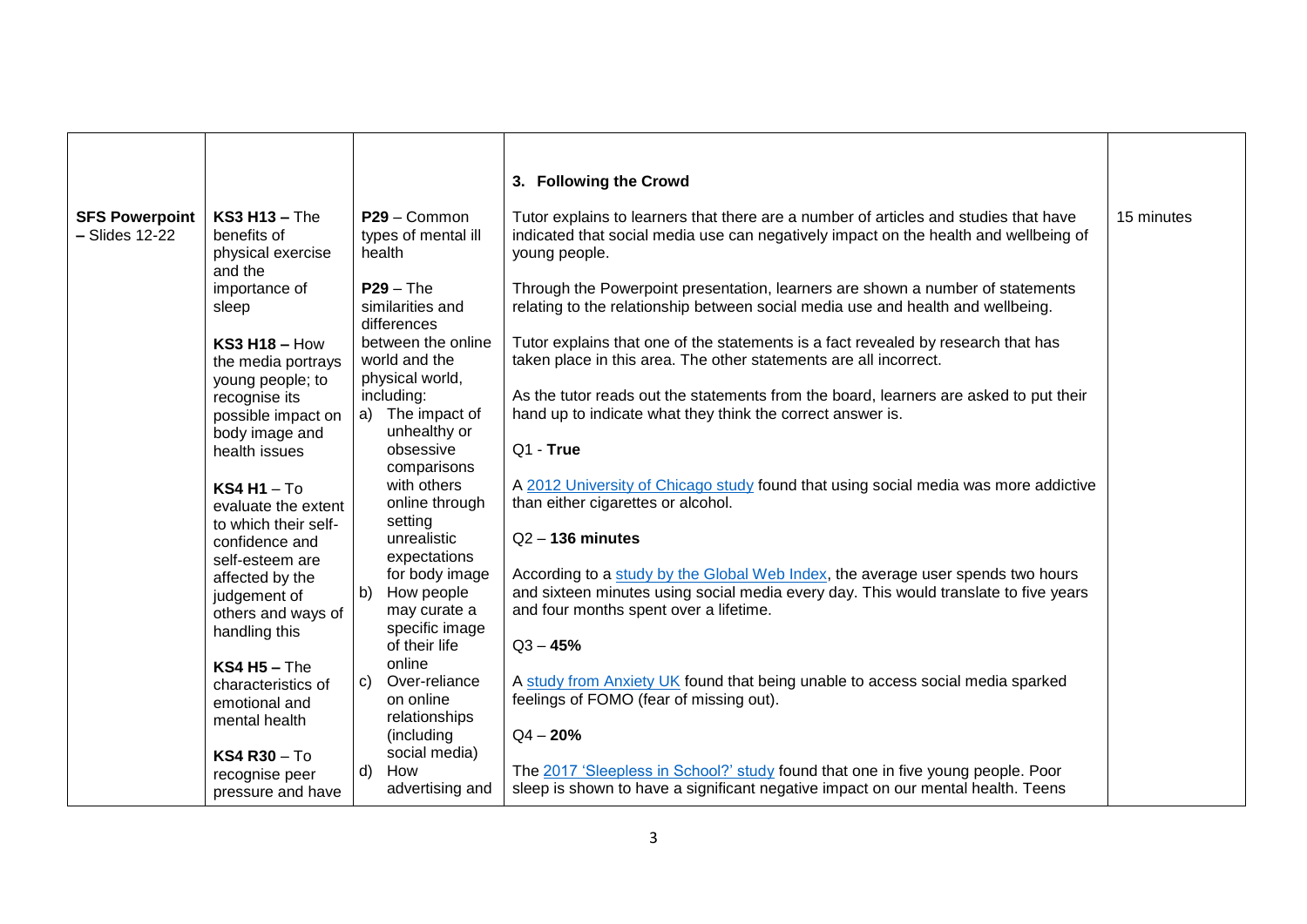|                                           |                                                                                  |                                                          | 3. Following the Crowd                                                                                                                                                                                            |            |
|-------------------------------------------|----------------------------------------------------------------------------------|----------------------------------------------------------|-------------------------------------------------------------------------------------------------------------------------------------------------------------------------------------------------------------------|------------|
| <b>SFS Powerpoint</b><br>$-$ Slides 12-22 | $KS3H13$ – The<br>benefits of<br>physical exercise<br>and the                    | P29 - Common<br>types of mental ill<br>health            | Tutor explains to learners that there are a number of articles and studies that have<br>indicated that social media use can negatively impact on the health and wellbeing of<br>young people.                     | 15 minutes |
|                                           | importance of<br>sleep                                                           | $P29 - The$<br>similarities and<br>differences           | Through the Powerpoint presentation, learners are shown a number of statements<br>relating to the relationship between social media use and health and wellbeing.                                                 |            |
|                                           | $KS3H18-How$<br>the media portrays<br>young people; to                           | between the online<br>world and the<br>physical world,   | Tutor explains that one of the statements is a fact revealed by research that has<br>taken place in this area. The other statements are all incorrect.                                                            |            |
|                                           | recognise its<br>possible impact on<br>body image and                            | including:<br>a) The impact of<br>unhealthy or           | As the tutor reads out the statements from the board, learners are asked to put their<br>hand up to indicate what they think the correct answer is.                                                               |            |
|                                           | health issues<br>$KS4H1-T0$                                                      | obsessive<br>comparisons<br>with others                  | Q1 - True<br>A 2012 University of Chicago study found that using social media was more addictive                                                                                                                  |            |
|                                           | evaluate the extent<br>to which their self-<br>confidence and<br>self-esteem are | online through<br>setting<br>unrealistic<br>expectations | than either cigarettes or alcohol.<br>$Q2 - 136$ minutes                                                                                                                                                          |            |
|                                           | affected by the<br>judgement of<br>others and ways of                            | for body image<br>b) How people<br>may curate a          | According to a study by the Global Web Index, the average user spends two hours<br>and sixteen minutes using social media every day. This would translate to five years<br>and four months spent over a lifetime. |            |
|                                           | handling this<br>$KS4H5 - The$                                                   | specific image<br>of their life<br>online                | $Q3 - 45%$                                                                                                                                                                                                        |            |
|                                           | characteristics of<br>emotional and<br>mental health                             | c) Over-reliance<br>on online<br>relationships           | A study from Anxiety UK found that being unable to access social media sparked<br>feelings of FOMO (fear of missing out).                                                                                         |            |
|                                           | <b>KS4 R30 - To</b><br>recognise peer<br>pressure and have                       | (including<br>social media)<br>d) How<br>advertising and | $Q4 - 20%$<br>The 2017 'Sleepless in School?' study found that one in five young people. Poor<br>sleep is shown to have a significant negative impact on our mental health. Teens                                 |            |